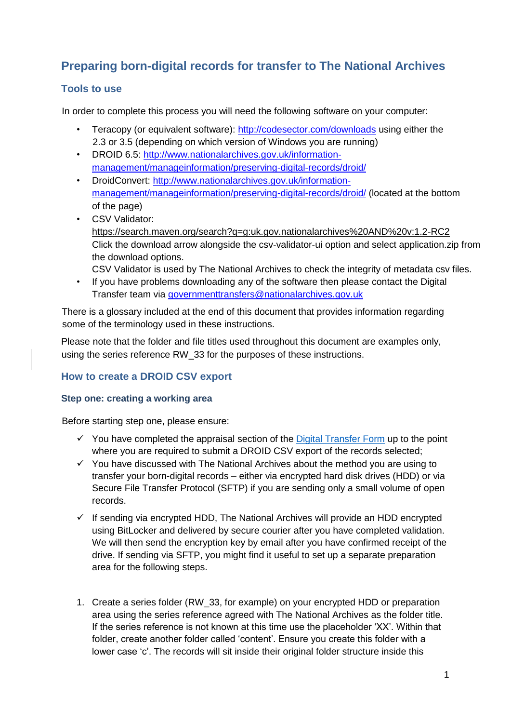# **Preparing born-digital records for transfer to The National Archives**

## **Tools to use**

In order to complete this process you will need the following software on your computer:

- Teracopy (or equivalent software):<http://codesector.com/downloads> using either the 2.3 or 3.5 (depending on which version of Windows you are running)
- DROID 6.5: [http://www.nationalarchives.gov.uk/information](http://www.nationalarchives.gov.uk/information-management/manage-information/preserving-digital-records/droid/)[management/manageinformation/preserving-digital-records/droid/](http://www.nationalarchives.gov.uk/information-management/manage-information/preserving-digital-records/droid/)
- DroidConvert: [http://www.nationalarchives.gov.uk/information](http://www.nationalarchives.gov.uk/information-management/manage-information/preserving-digital-records/droid/)[management/manageinformation/preserving-digital-records/droid/](http://www.nationalarchives.gov.uk/information-management/manage-information/preserving-digital-records/droid/) (located at the bottom of the page)
- CSV Validator: <https://search.maven.org/search?q=g:uk.gov.nationalarchives%20AND%20v:1.2-RC2> Click the download arrow alongside the csv-validator-ui option and select application.zip from the download options.

CSV Validator is used by The National Archives to check the integrity of metadata csv files.

• If you have problems downloading any of the software then please contact the Digital Transfer team via governmenttransfers@nationalarchives.gov.uk

There is a glossary included at the end of this document that provides information regarding some of the terminology used in these instructions.

Please note that the folder and file titles used throughout this document are examples only, using the series reference RW\_33 for the purposes of these instructions.

### **How to create a DROID CSV export**

#### **Step one: creating a working area**

Before starting step one, please ensure:

- $\checkmark$  You have completed the appraisal section of the [Digital Transfer Form](https://www.smartsurvey.co.uk/s/BornDigitalTransfer_TheNationalArchives) up to the point where you are required to submit a DROID CSV export of the records selected;
- $\checkmark$  You have discussed with The National Archives about the method you are using to transfer your born-digital records – either via encrypted hard disk drives (HDD) or via Secure File Transfer Protocol (SFTP) if you are sending only a small volume of open records.
- $\checkmark$  If sending via encrypted HDD, The National Archives will provide an HDD encrypted using BitLocker and delivered by secure courier after you have completed validation. We will then send the encryption key by email after you have confirmed receipt of the drive. If sending via SFTP, you might find it useful to set up a separate preparation area for the following steps.
- 1. Create a series folder (RW\_33, for example) on your encrypted HDD or preparation area using the series reference agreed with The National Archives as the folder title. If the series reference is not known at this time use the placeholder 'XX'. Within that folder, create another folder called 'content'. Ensure you create this folder with a lower case 'c'. The records will sit inside their original folder structure inside this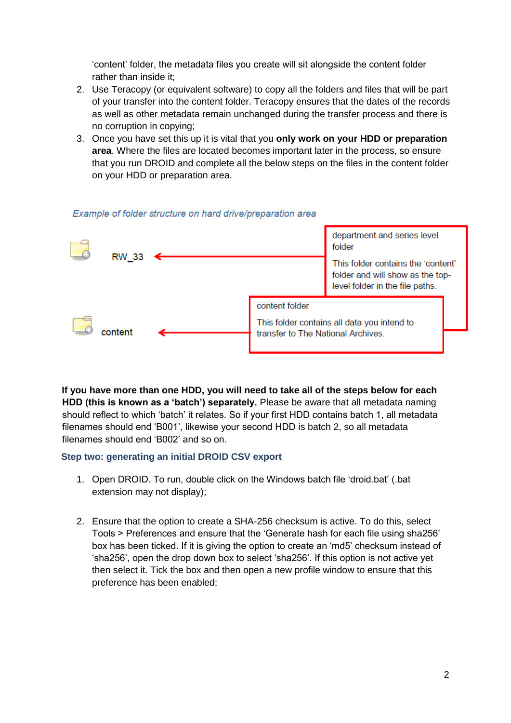'content' folder, the metadata files you create will sit alongside the content folder rather than inside it;

- 2. Use Teracopy (or equivalent software) to copy all the folders and files that will be part of your transfer into the content folder. Teracopy ensures that the dates of the records as well as other metadata remain unchanged during the transfer process and there is no corruption in copying;
- 3. Once you have set this up it is vital that you **only work on your HDD or preparation area**. Where the files are located becomes important later in the process, so ensure that you run DROID and complete all the below steps on the files in the content folder on your HDD or preparation area.



#### Example of folder structure on hard drive/preparation area

**If you have more than one HDD, you will need to take all of the steps below for each HDD (this is known as a 'batch') separately.** Please be aware that all metadata naming should reflect to which 'batch' it relates. So if your first HDD contains batch 1, all metadata filenames should end 'B001', likewise your second HDD is batch 2, so all metadata filenames should end 'B002' and so on.

#### **Step two: generating an initial DROID CSV export**

- 1. Open DROID. To run, double click on the Windows batch file 'droid.bat' (.bat extension may not display);
- 2. Ensure that the option to create a SHA-256 checksum is active. To do this, select Tools > Preferences and ensure that the 'Generate hash for each file using sha256' box has been ticked. If it is giving the option to create an 'md5' checksum instead of 'sha256', open the drop down box to select 'sha256'. If this option is not active yet then select it. Tick the box and then open a new profile window to ensure that this preference has been enabled;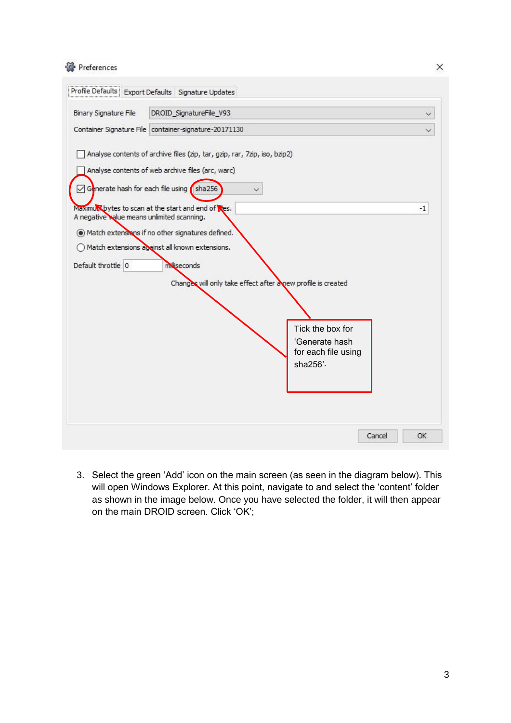| <b>操</b> Preferences |  |
|----------------------|--|
|----------------------|--|

| Binary Signature File                                                                                   | DROID_SignatureFile_V93                                                                                                                                                                                                                                                                                                                                                                 |                                                                       |
|---------------------------------------------------------------------------------------------------------|-----------------------------------------------------------------------------------------------------------------------------------------------------------------------------------------------------------------------------------------------------------------------------------------------------------------------------------------------------------------------------------------|-----------------------------------------------------------------------|
|                                                                                                         | Container Signature File container-signature-20171130                                                                                                                                                                                                                                                                                                                                   |                                                                       |
| ○ Generate hash for each file using<br>A negative value means unlimited scanning.<br>Default throttle 0 | Analyse contents of archive files (zip, tar, gzip, rar, 7zip, iso, bzip2)<br>Analyse contents of web archive files (arc, warc)<br>sha256<br>Maximum bytes to scan at the start and end of thes.<br>Match extensions if no other signatures defined.<br>◯ Match extensions against all known extensions.<br>milliseconds<br>Changes will only take effect after a new profile is created | $-1$                                                                  |
|                                                                                                         |                                                                                                                                                                                                                                                                                                                                                                                         | Tick the box for<br>'Generate hash<br>for each file using<br>sha256'. |
|                                                                                                         |                                                                                                                                                                                                                                                                                                                                                                                         |                                                                       |

3. Select the green 'Add' icon on the main screen (as seen in the diagram below). This will open Windows Explorer. At this point, navigate to and select the 'content' folder as shown in the image below. Once you have selected the folder, it will then appear on the main DROID screen. Click 'OK';

3

 $\times$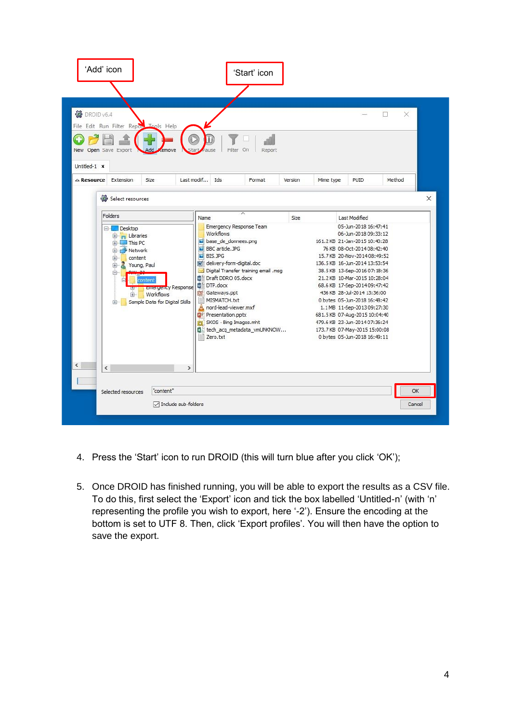| 'Add' icon<br><b>後</b> DROID v6.4<br>File Edit Run Filter Report Tools Help                                                                               |                                                                          |                                                                                                                                                                                                                                                                                                      | 'Start' icon                                                                                      |         |           |                                                                                                                                                                                                                                                                                                                                                                                                                                                                                                                                | ×<br>$\Box$        |
|-----------------------------------------------------------------------------------------------------------------------------------------------------------|--------------------------------------------------------------------------|------------------------------------------------------------------------------------------------------------------------------------------------------------------------------------------------------------------------------------------------------------------------------------------------------|---------------------------------------------------------------------------------------------------|---------|-----------|--------------------------------------------------------------------------------------------------------------------------------------------------------------------------------------------------------------------------------------------------------------------------------------------------------------------------------------------------------------------------------------------------------------------------------------------------------------------------------------------------------------------------------|--------------------|
| New Open Save Export<br>Untitled-1 x<br>$\triangle$ Resource Extension<br>Select resources                                                                | Add<br>emove<br>Size                                                     | Star<br>ause<br>Last modif Ids                                                                                                                                                                                                                                                                       | Filter On<br>Report<br>Format                                                                     | Version | Mime type | PUID                                                                                                                                                                                                                                                                                                                                                                                                                                                                                                                           | Method<br>$\times$ |
| Folders<br><b>Desktop</b><br>El Libraries<br>This PC<br><b>E</b> Network<br>content<br>田<br>Young, Paul<br>田<br>冃<br>content<br>E<br>田-<br>$\overline{+}$ | <b>Emergency Response</b><br>Workflows<br>Sample Data for Digital Skills | Name<br>Workflows<br>base_de_donnees.png<br><b>BBC</b> article. JPG<br><b>BIS.JPG</b><br>will delivery-form-digital.doc<br>■ Draft DDRO 05.docx<br><b>DTP.docx</b><br>Gateways.ppt<br>MISMATCH.txt<br>nord-lead-viewer.mxf<br>Δ<br><b>DE Presentation.pptx</b><br>SKOS - Bing Images.mht<br>Zero.txt | Emergency Response Team<br>Digital Transfer training email .msg<br>图a) tech_acq_metadata_vmUNKNOW | Size    |           | Last Modified<br>05-Jun-2018 16:47:41<br>06-Jun-2018 09:33:12<br>161.2 KB 21-Jan-2015 10:40:28<br>76 KB 08-Oct-2014 08:42:40<br>15.7 KB 20-Nov-2014 08:49:52<br>136.5 KB 16-Jun-2014 13:53:54<br>38.5 KB 13-Sep-2016 07:18:36<br>21.2 KB 10-Mar-2015 10:28:04<br>68.6 KB 17-Sep-2014 09:47:42<br>436 KB 28-Jul-2014 13:36:00<br>0 bytes 05-Jun-2018 16:48:42<br>1.1 MB 11-Sep-2013 09:27:30<br>681.5 KB 07-Aug-2015 10:04:40<br>479.6 KB 23-Jun-2014 07:36:24<br>173.7 KB 07-May-2015 15:00:08<br>0 bytes 05-Jun-2018 16:49:11 |                    |
| $\overline{\phantom{a}}$<br>Selected resources                                                                                                            | $\mathcal{P}$<br>"content"<br><b>□</b> Include sub-folders               |                                                                                                                                                                                                                                                                                                      |                                                                                                   |         |           |                                                                                                                                                                                                                                                                                                                                                                                                                                                                                                                                | OK<br>Cancel       |

- 4. Press the 'Start' icon to run DROID (this will turn blue after you click 'OK');
- 5. Once DROID has finished running, you will be able to export the results as a CSV file. To do this, first select the 'Export' icon and tick the box labelled 'Untitled-n' (with 'n' representing the profile you wish to export, here '-2'). Ensure the encoding at the bottom is set to UTF 8. Then, click 'Export profiles'. You will then have the option to save the export.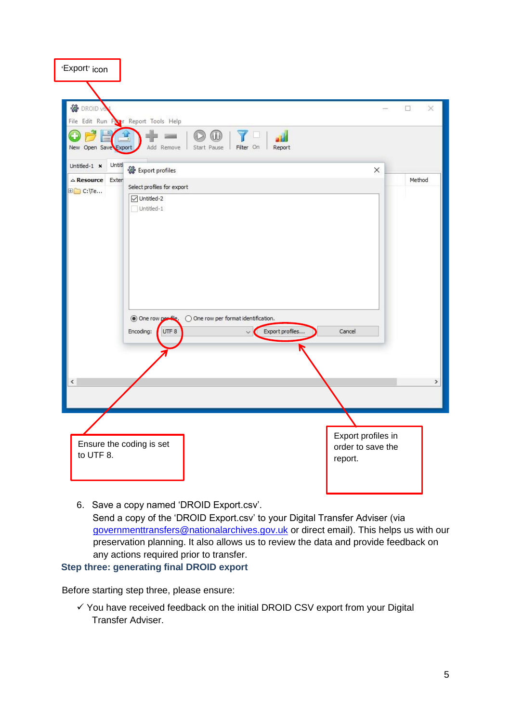| 'Export' icon                         |                                                                  |                                         |                    |
|---------------------------------------|------------------------------------------------------------------|-----------------------------------------|--------------------|
|                                       |                                                                  |                                         |                    |
| <b>谷</b> DROID vt                     |                                                                  |                                         | $\Box$<br>$\times$ |
|                                       | File Edit Run Fire Report Tools Help                             |                                         |                    |
| C<br>New Open Save Export             | ⅏<br>Start Pause   Filter On<br>Add Remove<br>Report             |                                         |                    |
| Untitl<br>Untitled-1 $\times$         | Export profiles                                                  | ×                                       |                    |
| $\triangle$ Resource Exter<br>田 C:\Te | Select profiles for export                                       |                                         | Method             |
|                                       | Untitled-2                                                       |                                         |                    |
|                                       | Untitled-1                                                       |                                         |                    |
|                                       |                                                                  |                                         |                    |
|                                       |                                                                  |                                         |                    |
|                                       |                                                                  |                                         |                    |
|                                       |                                                                  |                                         |                    |
|                                       |                                                                  |                                         |                    |
|                                       |                                                                  |                                         |                    |
|                                       | One row perfle.<br>$\bigcirc$ One row per format identification. |                                         |                    |
|                                       | Export profiles<br>Encoding:<br>UTF 8<br>$\checkmark$            | Cancel                                  |                    |
|                                       |                                                                  |                                         |                    |
|                                       |                                                                  |                                         |                    |
|                                       |                                                                  |                                         |                    |
| $\leq$                                |                                                                  |                                         | ×.                 |
|                                       |                                                                  |                                         |                    |
|                                       |                                                                  |                                         |                    |
|                                       |                                                                  |                                         |                    |
|                                       | Ensure the coding is set                                         | Export profiles in<br>order to save the |                    |
| to UTF 8.                             |                                                                  | report.                                 |                    |
|                                       |                                                                  |                                         |                    |
|                                       |                                                                  |                                         |                    |
|                                       |                                                                  |                                         |                    |

6. Save a copy named 'DROID Export.csv'. Send a copy of the 'DROID Export.csv' to your Digital Transfer Adviser (via governmenttransfers@nationalarchives.gov.uk or direct email). This helps us with our preservation planning. It also allows us to review the data and provide feedback on any actions required prior to transfer.

#### **Step three: generating final DROID export**

Before starting step three, please ensure:

 $\checkmark$  You have received feedback on the initial DROID CSV export from your Digital Transfer Adviser.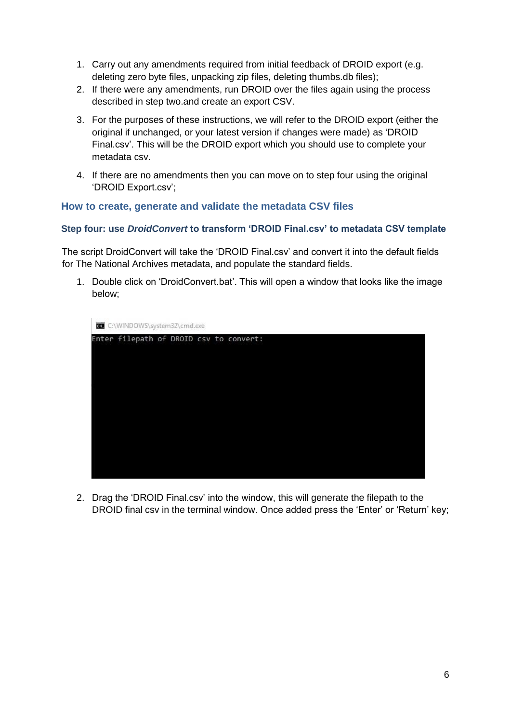- 1. Carry out any amendments required from initial feedback of DROID export (e.g. deleting zero byte files, unpacking zip files, deleting thumbs.db files);
- 2. If there were any amendments, run DROID over the files again using the process described in step two.and create an export CSV.
- 3. For the purposes of these instructions, we will refer to the DROID export (either the original if unchanged, or your latest version if changes were made) as 'DROID Final.csv'. This will be the DROID export which you should use to complete your metadata csv.
- 4. If there are no amendments then you can move on to step four using the original 'DROID Export.csv';

### **How to create, generate and validate the metadata CSV files**

#### **Step four: use** *DroidConvert* **to transform 'DROID Final.csv' to metadata CSV template**

The script DroidConvert will take the 'DROID Final.csv' and convert it into the default fields for The National Archives metadata, and populate the standard fields.

1. Double click on 'DroidConvert.bat'. This will open a window that looks like the image below;



2. Drag the 'DROID Final.csv' into the window, this will generate the filepath to the DROID final csv in the terminal window. Once added press the 'Enter' or 'Return' key;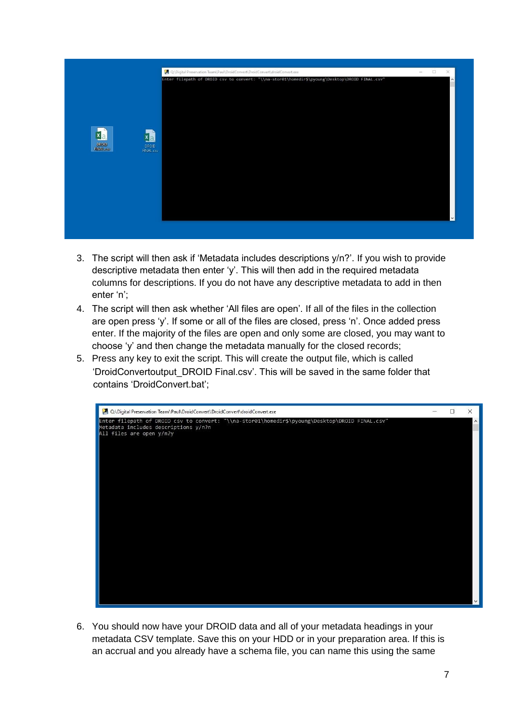

- 3. The script will then ask if 'Metadata includes descriptions y/n?'. If you wish to provide descriptive metadata then enter 'y'. This will then add in the required metadata columns for descriptions. If you do not have any descriptive metadata to add in then enter 'n';
- 4. The script will then ask whether 'All files are open'. If all of the files in the collection are open press 'y'. If some or all of the files are closed, press 'n'. Once added press enter. If the majority of the files are open and only some are closed, you may want to choose 'y' and then change the metadata manually for the closed records;
- 5. Press any key to exit the script. This will create the output file, which is called 'DroidConvertoutput\_DROID Final.csv'. This will be saved in the same folder that contains 'DroidConvert.bat';



6. You should now have your DROID data and all of your metadata headings in your metadata CSV template. Save this on your HDD or in your preparation area. If this is an accrual and you already have a schema file, you can name this using the same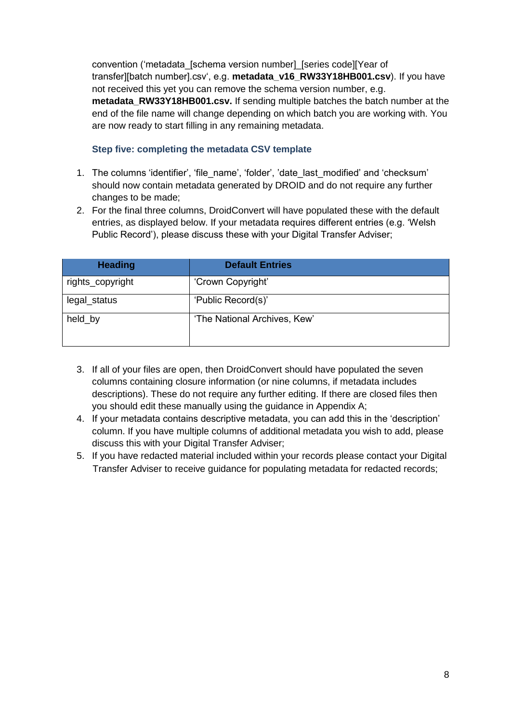convention ('metadata\_[schema version number]\_[series code][Year of transfer][batch number].csv', e.g. **metadata\_v16\_RW33Y18HB001.csv**). If you have not received this yet you can remove the schema version number, e.g. **metadata\_RW33Y18HB001.csv.** If sending multiple batches the batch number at the end of the file name will change depending on which batch you are working with. You are now ready to start filling in any remaining metadata.

#### **Step five: completing the metadata CSV template**

- 1. The columns 'identifier', 'file\_name', 'folder', 'date\_last\_modified' and 'checksum' should now contain metadata generated by DROID and do not require any further changes to be made;
- 2. For the final three columns, DroidConvert will have populated these with the default entries, as displayed below. If your metadata requires different entries (e.g. 'Welsh Public Record'), please discuss these with your Digital Transfer Adviser;

| <b>Heading</b>   | <b>Default Entries</b>       |
|------------------|------------------------------|
| rights_copyright | 'Crown Copyright'            |
| legal_status     | 'Public Record(s)'           |
| held_by          | 'The National Archives, Kew' |

- 3. If all of your files are open, then DroidConvert should have populated the seven columns containing closure information (or nine columns, if metadata includes descriptions). These do not require any further editing. If there are closed files then you should edit these manually using the guidance in Appendix A;
- 4. If your metadata contains descriptive metadata, you can add this in the 'description' column. If you have multiple columns of additional metadata you wish to add, please discuss this with your Digital Transfer Adviser;
- 5. If you have redacted material included within your records please contact your Digital Transfer Adviser to receive guidance for populating metadata for redacted records;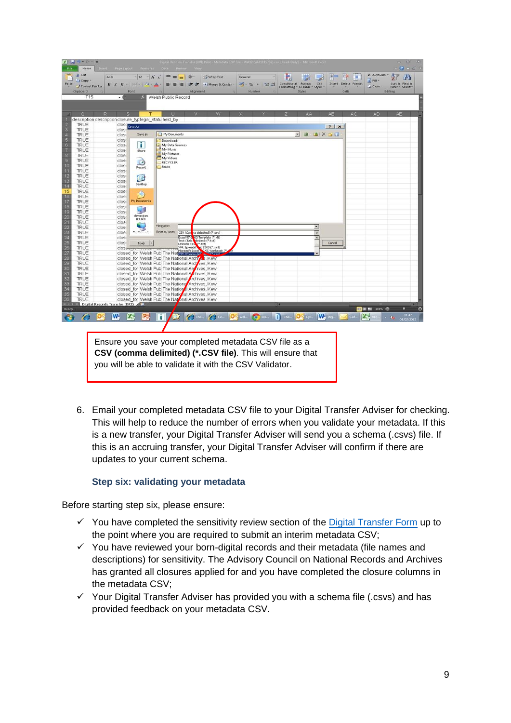| $X = -1$<br>File                            | Home                                                   |                 |                                            | Intert Page Layout Formulas Data Review View         |                                                      | Digital Records Transfer (DR) Pilot - Metadata CSV File - WA12 (wA21815356) csv [Read-Only] - Microsoft Exce |                     |          |            |                                                      |                |                      |                        | 中<br>$-53$<br>$\Rightarrow$<br>$\circ$ $2 = 5$ $x$ |
|---------------------------------------------|--------------------------------------------------------|-----------------|--------------------------------------------|------------------------------------------------------|------------------------------------------------------|--------------------------------------------------------------------------------------------------------------|---------------------|----------|------------|------------------------------------------------------|----------------|----------------------|------------------------|----------------------------------------------------|
| % Cut                                       |                                                        | Arial           | $-12 - A^2$                                |                                                      |                                                      | - Wrap Text                                                                                                  | General             |          |            |                                                      | ÷.             | R<br>ш               | Σ AutoSum              | m                                                  |
|                                             | - 1 Copy *                                             |                 |                                            |                                                      |                                                      |                                                                                                              |                     |          | 上线         |                                                      |                |                      | g Fill -               |                                                    |
| Paste                                       | Format Painter                                         | $B$ $I$ $U$ $-$ | $\mathbb{H}$ - $\mathbb{C}$ - $\mathbb{A}$ |                                                      | 读读                                                   | - A Merge & Center -                                                                                         | $-96$               | 1:42 :52 |            | Conditional Format<br>Formatting = as Table = Styles | Cell           | Insert Delete Format | $\angle$ Clear -       | Sort & Find &<br>Filter - Select -                 |
| Clipboard                                   |                                                        |                 | Font                                       |                                                      | Alignment                                            |                                                                                                              |                     | Number   |            | <b>Styles</b>                                        |                | Cells                |                        | Editing                                            |
|                                             | T15                                                    | $\cdot$ (       |                                            | Welsh Public Record                                  |                                                      |                                                                                                              |                     |          |            |                                                      |                |                      |                        |                                                    |
|                                             |                                                        |                 |                                            |                                                      |                                                      |                                                                                                              |                     |          |            |                                                      |                |                      |                        |                                                    |
|                                             | $\Omega$<br>R                                          | $\mathbf{s}$    | т                                          | Ш                                                    | v                                                    | w                                                                                                            |                     |          |            | AA                                                   | A <sub>B</sub> | AC                   | <b>AD</b>              | <b>AE</b>                                          |
|                                             | description description closure_typlegal_statu held_by |                 |                                            |                                                      |                                                      |                                                                                                              |                     |          |            |                                                      |                |                      |                        |                                                    |
| TRUE                                        |                                                        | close Save As   |                                            |                                                      |                                                      |                                                                                                              |                     |          |            |                                                      | $ ?  \times  $ |                      |                        |                                                    |
|                                             | TRUE                                                   | close           |                                            | My Documents                                         |                                                      |                                                                                                              |                     |          |            | $\circledcirc$                                       |                |                      |                        |                                                    |
|                                             | TRUE                                                   | close           | Save in:                                   |                                                      |                                                      |                                                                                                              |                     |          |            | ∙                                                    | <b>EXAMI</b>   |                      |                        |                                                    |
|                                             | TRUE                                                   | close           |                                            | Downloads<br>My Data Sources                         |                                                      |                                                                                                              |                     |          |            |                                                      |                |                      |                        |                                                    |
| 2345678910                                  | TRUE                                                   | close           | п                                          | My Music                                             |                                                      |                                                                                                              |                     |          |            |                                                      |                |                      |                        |                                                    |
|                                             | TRUE                                                   | close           | iShare                                     | My Pictures                                          |                                                      |                                                                                                              |                     |          |            |                                                      |                |                      |                        |                                                    |
|                                             | TRUE                                                   | close           |                                            | My Videos                                            |                                                      |                                                                                                              |                     |          |            |                                                      |                |                      |                        |                                                    |
|                                             | TRUE                                                   | close           | B                                          | RECYCLER                                             |                                                      |                                                                                                              |                     |          |            |                                                      |                |                      |                        |                                                    |
|                                             | TRUE                                                   | close           | Recent                                     | Roxio                                                |                                                      |                                                                                                              |                     |          |            |                                                      |                |                      |                        |                                                    |
|                                             | TRUE                                                   | close           |                                            |                                                      |                                                      |                                                                                                              |                     |          |            |                                                      |                |                      |                        |                                                    |
| $\frac{11}{12}$<br>$\frac{13}{14}$          | TRUE                                                   | close           | C                                          |                                                      |                                                      |                                                                                                              |                     |          |            |                                                      |                |                      |                        |                                                    |
|                                             | TRUE<br>TRUE                                           | close           | Desktop                                    |                                                      |                                                      |                                                                                                              |                     |          |            |                                                      |                |                      |                        |                                                    |
|                                             |                                                        | close           |                                            |                                                      |                                                      |                                                                                                              |                     |          |            |                                                      |                |                      |                        |                                                    |
| 15                                          | TRUE                                                   | close           | ۵                                          |                                                      |                                                      |                                                                                                              |                     |          |            |                                                      |                |                      |                        |                                                    |
|                                             | TRUE                                                   | close           | My Documents                               |                                                      |                                                      |                                                                                                              |                     |          |            |                                                      |                |                      |                        |                                                    |
|                                             | TRUE                                                   | close           |                                            |                                                      |                                                      |                                                                                                              |                     |          |            |                                                      |                |                      |                        |                                                    |
|                                             | <b>TRUE</b><br>TRUE                                    | close<br>close  | Ç.                                         |                                                      |                                                      |                                                                                                              |                     |          |            |                                                      |                |                      |                        |                                                    |
|                                             | <b>TRUE</b>                                            | close           | dawes) on                                  |                                                      |                                                      |                                                                                                              |                     |          |            |                                                      |                |                      |                        |                                                    |
|                                             | TRUE                                                   |                 | HX.061                                     |                                                      |                                                      |                                                                                                              |                     |          |            |                                                      |                |                      |                        |                                                    |
|                                             | TRUE                                                   | close<br>close  |                                            | File pame:                                           |                                                      |                                                                                                              |                     |          |            |                                                      | z.             |                      |                        |                                                    |
|                                             | TRUE                                                   | close           | <b>KALL Richmond</b>                       | Save as type:                                        | CSV (Com                                             | na delimited) (*.csv)                                                                                        |                     |          |            |                                                      | U              |                      |                        |                                                    |
|                                             | TRUE                                                   | close           |                                            |                                                      | Excel 97-2 03 Template (*.xlt)                       |                                                                                                              |                     |          |            |                                                      |                |                      |                        |                                                    |
|                                             | TRUE                                                   | close           |                                            |                                                      | Text (Tab a limited) (*.bxt)<br>Unicode Text (*.bxt) |                                                                                                              |                     |          |            |                                                      | Ä              |                      |                        |                                                    |
|                                             | TRUE                                                   | clos            | Tools                                      |                                                      |                                                      |                                                                                                              |                     |          |            |                                                      | Cancel         |                      |                        |                                                    |
|                                             | TRUE                                                   |                 |                                            | closed_for Welsh Pub The Natesy (commande by Welcow) |                                                      | SML Spreadshet 2003 (*.xml)<br>Microsoft Excel SQVS Worldbook (*.                                            |                     |          |            |                                                      |                |                      |                        |                                                    |
|                                             | <b>TRUE</b>                                            |                 |                                            | closed for Welsh Pub The National Archives, Kew      |                                                      |                                                                                                              |                     |          |            |                                                      |                |                      |                        |                                                    |
|                                             | TRUE                                                   |                 |                                            | closed_for Welsh Pub The National Archives, Kew      |                                                      |                                                                                                              |                     |          |            |                                                      |                |                      |                        |                                                    |
|                                             | TRUE                                                   |                 |                                            | closed for Welsh Pub The National Archives, Kew      |                                                      |                                                                                                              |                     |          |            |                                                      |                |                      |                        |                                                    |
|                                             | <b>TRUE</b>                                            |                 |                                            | closed for Welsh Pub The National Achives, Kew       |                                                      |                                                                                                              |                     |          |            |                                                      |                |                      |                        |                                                    |
|                                             | TRUE                                                   |                 |                                            | closed for Welsh Pub The National Archives, Kew      |                                                      |                                                                                                              |                     |          |            |                                                      |                |                      |                        |                                                    |
|                                             | TRUE                                                   |                 |                                            | closed for Welsh Pub The National Archives, Kew      |                                                      |                                                                                                              |                     |          |            |                                                      |                |                      |                        |                                                    |
| 1617181920212223242528272829303132333343538 | TRUE                                                   |                 |                                            | closed for Welsh Pub The Nation I Archives, Kew      |                                                      |                                                                                                              |                     |          |            |                                                      |                |                      |                        |                                                    |
|                                             | TRUE                                                   |                 |                                            | closed_for Welsh Pub The National Archives, Kew      |                                                      |                                                                                                              |                     |          |            |                                                      |                |                      |                        |                                                    |
|                                             | TRUE                                                   |                 |                                            | closed_for Welsh Pub The National Archives, Kew      |                                                      |                                                                                                              |                     |          |            |                                                      |                |                      |                        |                                                    |
|                                             | Digital Records Transfer (DRI)                         |                 |                                            |                                                      |                                                      |                                                                                                              |                     |          | 日本         |                                                      |                |                      |                        | m                                                  |
| Ready                                       |                                                        |                 |                                            |                                                      |                                                      |                                                                                                              |                     |          |            |                                                      |                |                      | <b>BE BE BE 100% O</b> | σ                                                  |
|                                             |                                                        | W               | ß.<br>$P_{\rm c}$                          | T                                                    | $\Theta$ Then                                        |                                                                                                              | C Co. Og wal O Eve. |          | The Do Cyl |                                                      | W. Dig.,       | Cot                  | $\mathbf{X}$           | 11:42                                              |
| <b>I</b>                                    |                                                        |                 |                                            |                                                      |                                                      |                                                                                                              |                     |          |            |                                                      |                |                      |                        | $-10$<br>04/02/2015                                |
|                                             |                                                        |                 |                                            |                                                      |                                                      |                                                                                                              |                     |          |            |                                                      |                |                      |                        |                                                    |
|                                             |                                                        |                 |                                            |                                                      |                                                      |                                                                                                              |                     |          |            |                                                      |                |                      |                        |                                                    |
|                                             |                                                        |                 |                                            |                                                      |                                                      |                                                                                                              |                     |          |            |                                                      |                |                      |                        |                                                    |
|                                             |                                                        |                 |                                            |                                                      |                                                      | Ensure you save your completed metadata CSV file as a                                                        |                     |          |            |                                                      |                |                      |                        |                                                    |

**CSV (comma delimited) (\*.CSV file)**. This will ensure that you will be able to validate it with the CSV Validator.

6. Email your completed metadata CSV file to your Digital Transfer Adviser for checking. This will help to reduce the number of errors when you validate your metadata. If this is a new transfer, your Digital Transfer Adviser will send you a schema (.csvs) file. If this is an accruing transfer, your Digital Transfer Adviser will confirm if there are updates to your current schema.

#### **Step six: validating your metadata**

Before starting step six, please ensure:

- $\checkmark$  You have completed the sensitivity review section of the [Digital Transfer Form](https://www.smartsurvey.co.uk/s/BornDigitalTransfer_TheNationalArchives) up to the point where you are required to submit an interim metadata CSV;
- $\checkmark$  You have reviewed your born-digital records and their metadata (file names and descriptions) for sensitivity. The Advisory Council on National Records and Archives has granted all closures applied for and you have completed the closure columns in the metadata CSV;
- $\checkmark$  Your Digital Transfer Adviser has provided you with a schema file (.csvs) and has provided feedback on your metadata CSV.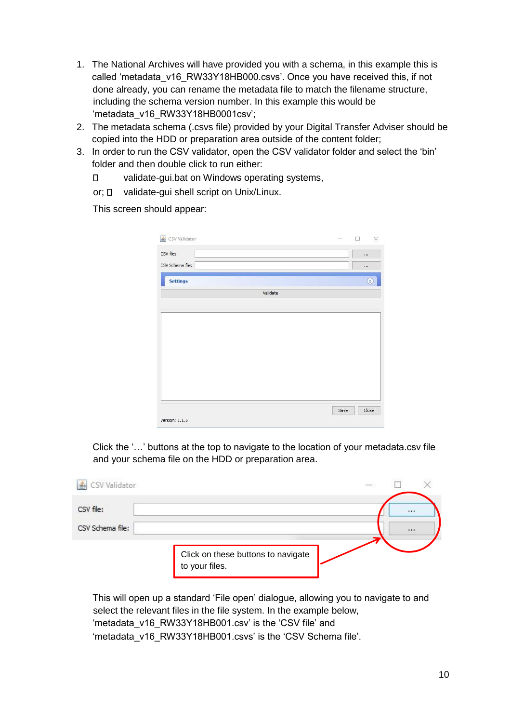- 1. The National Archives will have provided you with a schema, in this example this is called 'metadata\_v16\_RW33Y18HB000.csvs'. Once you have received this, if not done already, you can rename the metadata file to match the filename structure, including the schema version number. In this example this would be 'metadata\_v16\_RW33Y18HB0001csv';
- 2. The metadata schema (.csvs file) provided by your Digital Transfer Adviser should be copied into the HDD or preparation area outside of the content folder;
- 3. In order to run the CSV validator, open the CSV validator folder and select the 'bin' folder and then double click to run either:
	- $\Box$ validate-gui.bat on Windows operating systems,
	- or; D validate-gui shell script on Unix/Linux.

This screen should appear:

| CSV file:        |          |      | $\cdots$  |
|------------------|----------|------|-----------|
| CSV Schema file: |          |      | $\cdots$  |
| <b>Settings</b>  |          |      | $\otimes$ |
|                  | Validate |      |           |
|                  |          |      |           |
|                  |          |      |           |
|                  |          |      |           |
|                  |          |      |           |
|                  |          |      |           |
|                  |          |      |           |
|                  |          |      |           |
|                  |          |      |           |
|                  |          |      |           |
|                  |          |      |           |
|                  |          | Save | Close     |

Click the '…' buttons at the top to navigate to the location of your metadata.csv file and your schema file on the HDD or preparation area.

| ▲ CSV Validator               |                                                      | $\frac{1}{2} \left( \frac{1}{2} \right) \left( \frac{1}{2} \right) \left( \frac{1}{2} \right) \left( \frac{1}{2} \right) \left( \frac{1}{2} \right) \left( \frac{1}{2} \right) \left( \frac{1}{2} \right) \left( \frac{1}{2} \right) \left( \frac{1}{2} \right) \left( \frac{1}{2} \right) \left( \frac{1}{2} \right) \left( \frac{1}{2} \right) \left( \frac{1}{2} \right) \left( \frac{1}{2} \right) \left( \frac{1}{2} \right) \left( \frac{1}{2} \right) \left( \frac$ |
|-------------------------------|------------------------------------------------------|----------------------------------------------------------------------------------------------------------------------------------------------------------------------------------------------------------------------------------------------------------------------------------------------------------------------------------------------------------------------------------------------------------------------------------------------------------------------------|
| CSV file:<br>CSV Schema file: |                                                      |                                                                                                                                                                                                                                                                                                                                                                                                                                                                            |
|                               | Click on these buttons to navigate<br>to your files. | 1.14                                                                                                                                                                                                                                                                                                                                                                                                                                                                       |
|                               |                                                      |                                                                                                                                                                                                                                                                                                                                                                                                                                                                            |

This will open up a standard 'File open' dialogue, allowing you to navigate to and select the relevant files in the file system. In the example below, 'metadata\_v16\_RW33Y18HB001.csv' is the 'CSV file' and 'metadata\_v16\_RW33Y18HB001.csvs' is the 'CSV Schema file'.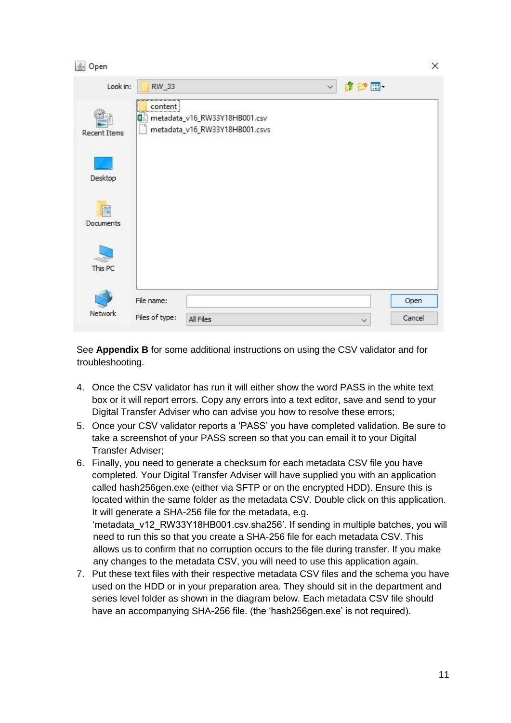| <b><i>L</i></b> Open |                |                                                                     |              |              | ×      |
|----------------------|----------------|---------------------------------------------------------------------|--------------|--------------|--------|
| Look in:             | RW_33          |                                                                     | $\checkmark$ | 2 2 田        |        |
| <b>Recent Items</b>  | content<br>    | 图a) metadata_v16_RW33Y18HB001.csv<br>metadata_v16_RW33Y18HB001.csvs |              |              |        |
| Desktop              |                |                                                                     |              |              |        |
| 麠<br>Documents       |                |                                                                     |              |              |        |
| This PC              |                |                                                                     |              |              |        |
|                      | File name:     |                                                                     |              |              | Open   |
| Network              | Files of type: | All Files                                                           |              | $\checkmark$ | Cancel |

See **Appendix B** for some additional instructions on using the CSV validator and for troubleshooting.

- 4. Once the CSV validator has run it will either show the word PASS in the white text box or it will report errors. Copy any errors into a text editor, save and send to your Digital Transfer Adviser who can advise you how to resolve these errors;
- 5. Once your CSV validator reports a 'PASS' you have completed validation. Be sure to take a screenshot of your PASS screen so that you can email it to your Digital Transfer Adviser;
- 6. Finally, you need to generate a checksum for each metadata CSV file you have completed. Your Digital Transfer Adviser will have supplied you with an application called hash256gen.exe (either via SFTP or on the encrypted HDD). Ensure this is located within the same folder as the metadata CSV. Double click on this application. It will generate a SHA-256 file for the metadata, e.g. 'metadata\_v12\_RW33Y18HB001.csv.sha256'. If sending in multiple batches, you will need to run this so that you create a SHA-256 file for each metadata CSV. This allows us to confirm that no corruption occurs to the file during transfer. If you make any changes to the metadata CSV, you will need to use this application again.
- 7. Put these text files with their respective metadata CSV files and the schema you have used on the HDD or in your preparation area. They should sit in the department and series level folder as shown in the diagram below. Each metadata CSV file should have an accompanying SHA-256 file. (the 'hash256gen.exe' is not required).

11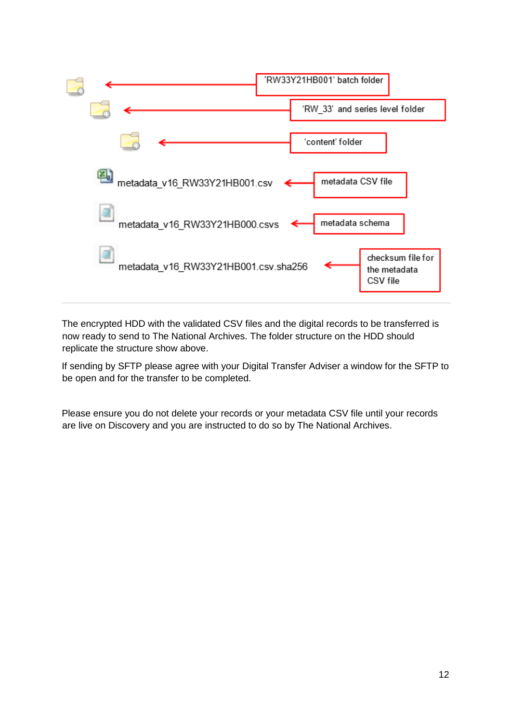

The encrypted HDD with the validated CSV files and the digital records to be transferred is now ready to send to The National Archives. The folder structure on the HDD should replicate the structure show above.

If sending by SFTP please agree with your Digital Transfer Adviser a window for the SFTP to be open and for the transfer to be completed.

Please ensure you do not delete your records or your metadata CSV file until your records are live on Discovery and you are instructed to do so by The National Archives.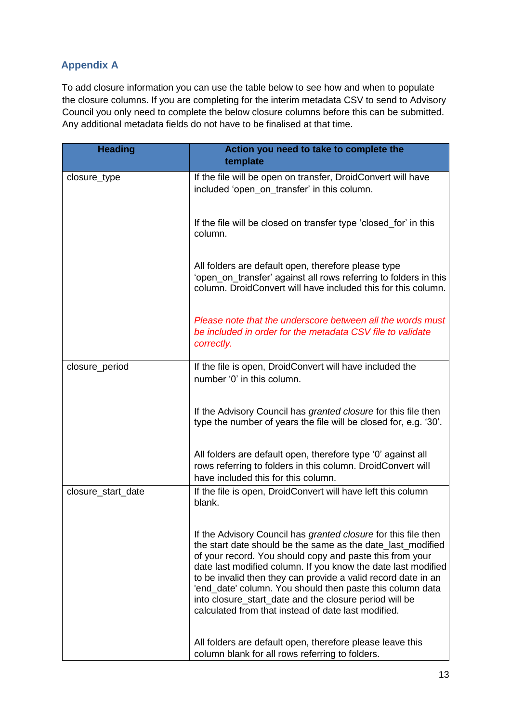# **Appendix A**

To add closure information you can use the table below to see how and when to populate the closure columns. If you are completing for the interim metadata CSV to send to Advisory Council you only need to complete the below closure columns before this can be submitted. Any additional metadata fields do not have to be finalised at that time.

| <b>Heading</b>     | Action you need to take to complete the<br>template                                                                                                                                                                                                                                                                                                                                                                                                                                                              |
|--------------------|------------------------------------------------------------------------------------------------------------------------------------------------------------------------------------------------------------------------------------------------------------------------------------------------------------------------------------------------------------------------------------------------------------------------------------------------------------------------------------------------------------------|
| closure_type       | If the file will be open on transfer, DroidConvert will have<br>included 'open on transfer' in this column.                                                                                                                                                                                                                                                                                                                                                                                                      |
|                    | If the file will be closed on transfer type 'closed for' in this<br>column.                                                                                                                                                                                                                                                                                                                                                                                                                                      |
|                    | All folders are default open, therefore please type<br>'open on transfer' against all rows referring to folders in this<br>column. DroidConvert will have included this for this column.                                                                                                                                                                                                                                                                                                                         |
|                    | Please note that the underscore between all the words must<br>be included in order for the metadata CSV file to validate<br>correctly.                                                                                                                                                                                                                                                                                                                                                                           |
| closure_period     | If the file is open, DroidConvert will have included the<br>number '0' in this column.                                                                                                                                                                                                                                                                                                                                                                                                                           |
|                    | If the Advisory Council has <i>granted closure</i> for this file then<br>type the number of years the file will be closed for, e.g. '30'.                                                                                                                                                                                                                                                                                                                                                                        |
|                    | All folders are default open, therefore type '0' against all<br>rows referring to folders in this column. DroidConvert will<br>have included this for this column.                                                                                                                                                                                                                                                                                                                                               |
| closure_start_date | If the file is open, DroidConvert will have left this column<br>blank.                                                                                                                                                                                                                                                                                                                                                                                                                                           |
|                    | If the Advisory Council has <i>granted closure</i> for this file then<br>the start date should be the same as the date last modified<br>of your record. You should copy and paste this from your<br>date last modified column. If you know the date last modified<br>to be invalid then they can provide a valid record date in an<br>'end_date' column. You should then paste this column data<br>into closure_start_date and the closure period will be<br>calculated from that instead of date last modified. |
|                    | All folders are default open, therefore please leave this<br>column blank for all rows referring to folders.                                                                                                                                                                                                                                                                                                                                                                                                     |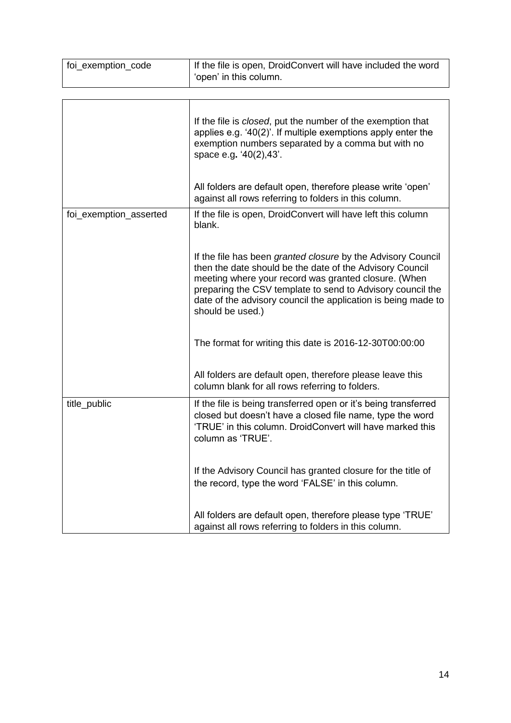| foi_exemption_code     | If the file is open, DroidConvert will have included the word<br>'open' in this column.                                                                                                                                                                                                                                             |
|------------------------|-------------------------------------------------------------------------------------------------------------------------------------------------------------------------------------------------------------------------------------------------------------------------------------------------------------------------------------|
|                        |                                                                                                                                                                                                                                                                                                                                     |
|                        | If the file is <i>closed</i> , put the number of the exemption that<br>applies e.g. '40(2)'. If multiple exemptions apply enter the<br>exemption numbers separated by a comma but with no<br>space e.g. '40(2), 43'.                                                                                                                |
|                        | All folders are default open, therefore please write 'open'<br>against all rows referring to folders in this column.                                                                                                                                                                                                                |
| foi_exemption_asserted | If the file is open, DroidConvert will have left this column<br>blank.                                                                                                                                                                                                                                                              |
|                        | If the file has been granted closure by the Advisory Council<br>then the date should be the date of the Advisory Council<br>meeting where your record was granted closure. (When<br>preparing the CSV template to send to Advisory council the<br>date of the advisory council the application is being made to<br>should be used.) |
|                        | The format for writing this date is 2016-12-30T00:00:00                                                                                                                                                                                                                                                                             |
|                        | All folders are default open, therefore please leave this<br>column blank for all rows referring to folders.                                                                                                                                                                                                                        |
| title_public           | If the file is being transferred open or it's being transferred<br>closed but doesn't have a closed file name, type the word<br>'TRUE' in this column. DroidConvert will have marked this<br>column as 'TRUE'.                                                                                                                      |
|                        | If the Advisory Council has granted closure for the title of<br>the record, type the word 'FALSE' in this column.                                                                                                                                                                                                                   |
|                        | All folders are default open, therefore please type 'TRUE'<br>against all rows referring to folders in this column.                                                                                                                                                                                                                 |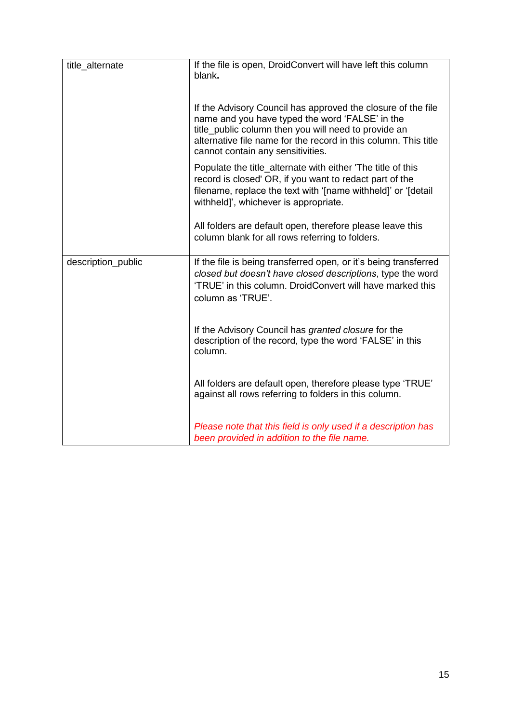| title_alternate    | If the file is open, DroidConvert will have left this column<br>blank.                                                                                                                                                                                                          |
|--------------------|---------------------------------------------------------------------------------------------------------------------------------------------------------------------------------------------------------------------------------------------------------------------------------|
|                    | If the Advisory Council has approved the closure of the file<br>name and you have typed the word 'FALSE' in the<br>title_public column then you will need to provide an<br>alternative file name for the record in this column. This title<br>cannot contain any sensitivities. |
|                    | Populate the title_alternate with either 'The title of this<br>record is closed' OR, if you want to redact part of the<br>filename, replace the text with '[name withheld]' or '[detail<br>withheld]', whichever is appropriate.                                                |
|                    | All folders are default open, therefore please leave this<br>column blank for all rows referring to folders.                                                                                                                                                                    |
| description_public | If the file is being transferred open, or it's being transferred<br>closed but doesn't have closed descriptions, type the word<br>'TRUE' in this column. DroidConvert will have marked this<br>column as 'TRUE'.                                                                |
|                    | If the Advisory Council has granted closure for the<br>description of the record, type the word 'FALSE' in this<br>column.                                                                                                                                                      |
|                    | All folders are default open, therefore please type 'TRUE'<br>against all rows referring to folders in this column.                                                                                                                                                             |
|                    | Please note that this field is only used if a description has<br>been provided in addition to the file name.                                                                                                                                                                    |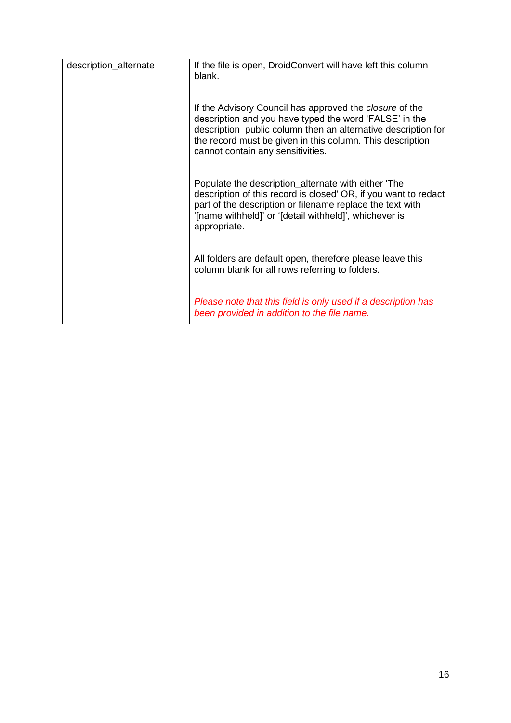| description_alternate | If the file is open, DroidConvert will have left this column<br>blank.                                                                                                                                                                                                                      |
|-----------------------|---------------------------------------------------------------------------------------------------------------------------------------------------------------------------------------------------------------------------------------------------------------------------------------------|
|                       | If the Advisory Council has approved the <i>closure</i> of the<br>description and you have typed the word 'FALSE' in the<br>description_public column then an alternative description for<br>the record must be given in this column. This description<br>cannot contain any sensitivities. |
|                       | Populate the description_alternate with either 'The<br>description of this record is closed' OR, if you want to redact<br>part of the description or filename replace the text with<br>'[name withheld]' or '[detail withheld]', whichever is<br>appropriate.                               |
|                       | All folders are default open, therefore please leave this<br>column blank for all rows referring to folders.                                                                                                                                                                                |
|                       | Please note that this field is only used if a description has<br>been provided in addition to the file name.                                                                                                                                                                                |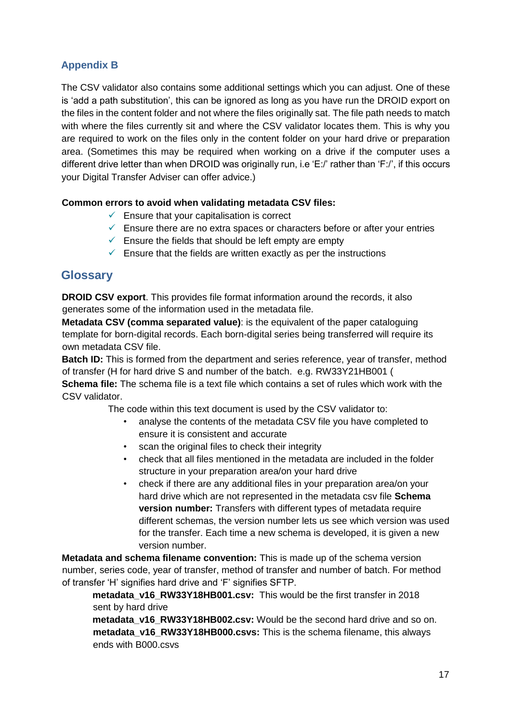# **Appendix B**

The CSV validator also contains some additional settings which you can adjust. One of these is 'add a path substitution', this can be ignored as long as you have run the DROID export on the files in the content folder and not where the files originally sat. The file path needs to match with where the files currently sit and where the CSV validator locates them. This is why you are required to work on the files only in the content folder on your hard drive or preparation area. (Sometimes this may be required when working on a drive if the computer uses a different drive letter than when DROID was originally run, i.e 'E:/' rather than 'F:/', if this occurs your Digital Transfer Adviser can offer advice.)

#### **Common errors to avoid when validating metadata CSV files:**

- $\checkmark$  Ensure that your capitalisation is correct
- $\checkmark$  Ensure there are no extra spaces or characters before or after your entries
- $\checkmark$  Ensure the fields that should be left empty are empty
- $\checkmark$  Ensure that the fields are written exactly as per the instructions

# **Glossary**

**DROID CSV export**. This provides file format information around the records, it also generates some of the information used in the metadata file.

**Metadata CSV (comma separated value)**: is the equivalent of the paper cataloguing template for born-digital records. Each born-digital series being transferred will require its own metadata CSV file.

**Batch ID:** This is formed from the department and series reference, year of transfer, method of transfer (H for hard drive S and number of the batch. e.g. RW33Y21HB001 (

**Schema file:** The schema file is a text file which contains a set of rules which work with the CSV validator.

The code within this text document is used by the CSV validator to:

- analyse the contents of the metadata CSV file you have completed to ensure it is consistent and accurate
- scan the original files to check their integrity
- check that all files mentioned in the metadata are included in the folder structure in your preparation area/on your hard drive
- check if there are any additional files in your preparation area/on your hard drive which are not represented in the metadata csv file **Schema version number:** Transfers with different types of metadata require different schemas, the version number lets us see which version was used for the transfer. Each time a new schema is developed, it is given a new version number.

**Metadata and schema filename convention:** This is made up of the schema version number, series code, year of transfer, method of transfer and number of batch. For method of transfer 'H' signifies hard drive and 'F' signifies SFTP.

**metadata\_v16\_RW33Y18HB001.csv:** This would be the first transfer in 2018 sent by hard drive

**metadata\_v16\_RW33Y18HB002.csv:** Would be the second hard drive and so on. **metadata\_v16\_RW33Y18HB000.csvs:** This is the schema filename, this always ends with B000.csvs